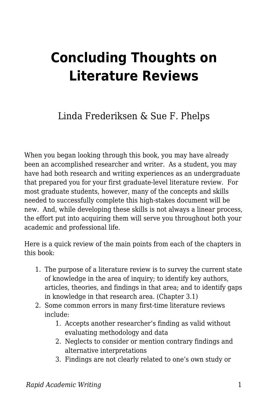# **Concluding Thoughts on Literature Reviews**

### Linda Frederiksen & Sue F. Phelps

When you began looking through this book, you may have already been an accomplished researcher and writer. As a student, you may have had both research and writing experiences as an undergraduate that prepared you for your first graduate-level literature review. For most graduate students, however, many of the concepts and skills needed to successfully complete this high-stakes document will be new. And, while developing these skills is not always a linear process, the effort put into acquiring them will serve you throughout both your academic and professional life.

Here is a quick review of the main points from each of the chapters in this book:

- 1. The purpose of a literature review is to survey the current state of knowledge in the area of inquiry; to identify key authors, articles, theories, and findings in that area; and to identify gaps in knowledge in that research area. (Chapter 3.1)
- 2. Some common errors in many first-time literature reviews include:
	- 1. Accepts another researcher's finding as valid without evaluating methodology and data
	- 2. Neglects to consider or mention contrary findings and alternative interpretations
	- 3. Findings are not clearly related to one's own study or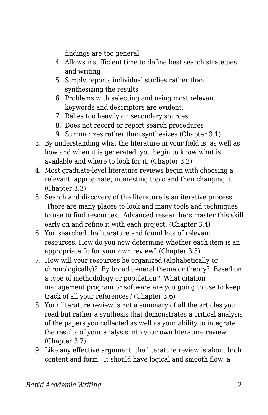findings are too general.

- 4. Allows insufficient time to define best search strategies and writing
- 5. Simply reports individual studies rather than synthesizing the results
- 6. Problems with selecting and using most relevant keywords and descriptors are evident.
- 7. Relies too heavily on secondary sources
- 8. Does not record or report search procedures
- 9. Summarizes rather than synthesizes (Chapter 3.1)
- 3. By understanding what the literature in your field is, as well as how and when it is generated, you begin to know what is available and where to look for it. (Chapter 3.2)
- 4. Most graduate-level literature reviews begin with choosing a relevant, appropriate, interesting topic and then changing it. (Chapter 3.3)
- 5. Search and discovery of the literature is an iterative process. There are many places to look and many tools and techniques to use to find resources. Advanced researchers master this skill early on and refine it with each project. (Chapter 3.4)
- 6. You searched the literature and found lots of relevant resources. How do you now determine whether each item is an appropriate fit for your own review? (Chapter 3.5)
- 7. How will your resources be organized (alphabetically or chronologically)? By broad general theme or theory? Based on a type of methodology or population? What citation management program or software are you going to use to keep track of all your references? (Chapter 3.6)
- 8. Your literature review is not a summary of all the articles you read but rather a synthesis that demonstrates a critical analysis of the papers you collected as well as your ability to integrate the results of your analysis into your own literature review. (Chapter 3.7)
- 9. Like any effective argument, the literature review is about both content and form. It should have logical and smooth flow, a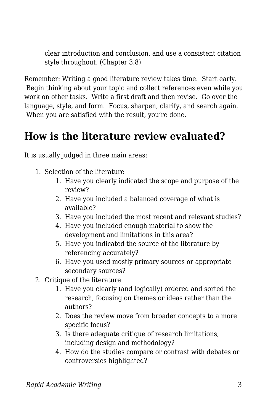clear introduction and conclusion, and use a consistent citation style throughout. (Chapter 3.8)

Remember: Writing a good literature review takes time. Start early. Begin thinking about your topic and collect references even while you work on other tasks. Write a first draft and then revise. Go over the language, style, and form. Focus, sharpen, clarify, and search again. When you are satisfied with the result, you're done.

## **How is the literature review evaluated?**

It is usually judged in three main areas:

- 1. Selection of the literature
	- 1. Have you clearly indicated the scope and purpose of the review?
	- 2. Have you included a balanced coverage of what is available?
	- 3. Have you included the most recent and relevant studies?
	- 4. Have you included enough material to show the development and limitations in this area?
	- 5. Have you indicated the source of the literature by referencing accurately?
	- 6. Have you used mostly primary sources or appropriate secondary sources?
- 2. Critique of the literature
	- 1. Have you clearly (and logically) ordered and sorted the research, focusing on themes or ideas rather than the authors?
	- 2. Does the review move from broader concepts to a more specific focus?
	- 3. Is there adequate critique of research limitations, including design and methodology?
	- 4. How do the studies compare or contrast with debates or controversies highlighted?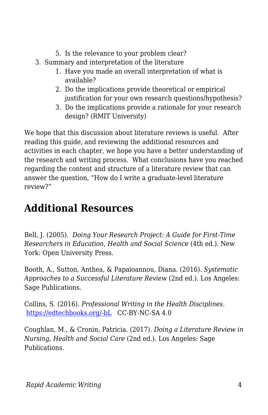- 5. Is the relevance to your problem clear?
- 3. Summary and interpretation of the literature
	- 1. Have you made an overall interpretation of what is available?
	- 2. Do the implications provide theoretical or empirical justification for your own research questions/hypothesis?
	- 3. Do the implications provide a rationale for your research design? (RMIT University)

We hope that this discussion about literature reviews is useful. After reading this guide, and reviewing the additional resources and activities in each chapter, we hope you have a better understanding of the research and writing process. What conclusions have you reached regarding the content and structure of a literature review that can answer the question, "How do I write a graduate-level literature review?"

# **Additional Resources**

Bell, J. (2005). *Doing Your Research Project: A Guide for First-Time Researchers in Education, Health and Social Science* (4th ed.). New York: Open University Press.

Booth, A., Sutton, Anthea, & Papaioannou, Diana. (2016). *Systematic Approaches to a Successful Literature Review* (2nd ed.). Los Angeles: Sage Publications.

Collins, S. (2016). *Professional Writing in the Health Disciplines*. [https://edtechbooks.org/-bL](http://epub-fhd.athabascau.ca/professionalwriting/) CC-BY-NC-SA 4.0

Coughlan, M., & Cronin, Patricia. (2017). *Doing a Literature Review in Nursing, Health and Social Care* (2nd ed.). Los Angeles: Sage Publications.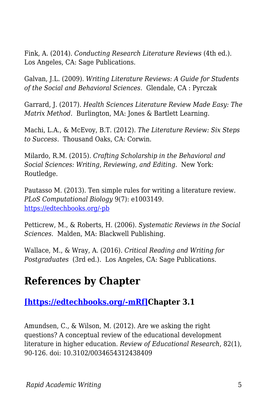Fink, A. (2014). *Conducting Research Literature Reviews* (4th ed.). Los Angeles, CA: Sage Publications.

Galvan, J.L. (2009). *Writing Literature Reviews: A Guide for Students of the Social and Behavioral Sciences*. Glendale, CA : Pyrczak

Garrard, J. (2017). *Health Sciences Literature Review Made Easy: The Matrix Method*. Burlington, MA: Jones & Bartlett Learning.

Machi, L.A., & McEvoy, B.T. (2012). *The Literature Review: Six Steps to Success*. Thousand Oaks, CA: Corwin.

Milardo, R.M. (2015). *Crafting Scholarship in the Behavioral and Social Sciences: Writing, Reviewing, and Editing*. New York: Routledge.

Pautasso M. (2013). Ten simple rules for writing a literature review. *PLoS Computational Biology* 9(7): e1003149. [https://edtechbooks.org/-pb](https://doi.org/10.1371/journal.pcbi.1003149)

Petticrew, M., & Roberts, H. (2006). *Systematic Reviews in the Social Sciences*. Malden, MA: Blackwell Publishing.

Wallace, M., & Wray, A. (2016). *Critical Reading and Writing for Postgraduates* (3rd ed.). Los Angeles, CA: Sage Publications.

### **References by Chapter**

#### **[\[https://edtechbooks.org/-mRf\]C](https://edtechbooks.org/rapidwriting/)hapter 3.1**

Amundsen, C., & Wilson, M. (2012). Are we asking the right questions? A conceptual review of the educational development literature in higher education. *Review of Educational Research*, 82(1), 90-126. doi: 10.3102/0034654312438409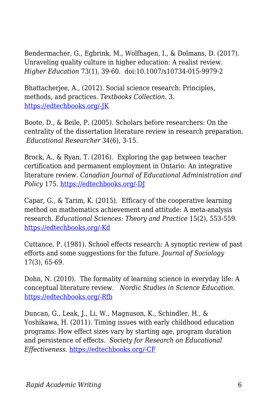Bendermacher, G., Egbrink, M., Wolfhagen, I., & Dolmans, D. (2017). Unraveling quality culture in higher education: A realist review. *Higher Education* 73(1), 39-60. doi:10.1007/s10734-015-9979-2

Bhattacherjee, A., (2012). Social science research: Principles, methods, and practices. *Textbooks Collection*. 3. [https://edtechbooks.org/-JK](http://scholarcommons.usf.edu/oa_textbooks/3)

Boote, D., & Beile, P. (2005). Scholars before researchers: On the centrality of the dissertation literature review in research preparation. *Educational Researcher* 34(6), 3-15.

Brock, A., & Ryan, T. (2016). Exploring the gap between teacher certification and permanent employment in Ontario: An integrative literature review. *Canadian Journal of Educational Administration and Policy* 175. [https://edtechbooks.org/-DJ](http://files.eric.ed.gov/fulltext/EJ1086899.pdf)

Capar, G., & Tarim, K. (2015). Efficacy of the cooperative learning method on mathematics achievement and attitude: A meta-analysis research. *Educational Sciences: Theory and Practice* 15(2), 553-559. [https://edtechbooks.org/-Kd](http://files.eric.ed.gov/fulltext/EJ1060189.pdf)

Cuttance, P. (1981). School effects research: A synoptic review of past efforts and some suggestions for the future. *Journal of Sociology* 17(3), 65-69.

Dohn, N. (2010). The formality of learning science in everyday life: A conceptual literature review. *Nordic Studies in Science Education*. [https://edtechbooks.org/-Rfb](https://www.journals.uio.no/index.php/nordina/article/view/250/303)

Duncan, G., Leak, J., Li, W., Magnuson, K., Schindler, H., & Yoshikawa, H. (2011). Timing issues with early childhood education programs: How effect sizes vary by starting age, program duration and persistence of effects. *Society for Research on Educational Effectiveness*. [https://edtechbooks.org/-CF](https://eric.ed.gov/?q=%22a+meta-analysis%22&ft=on&id=ED519340)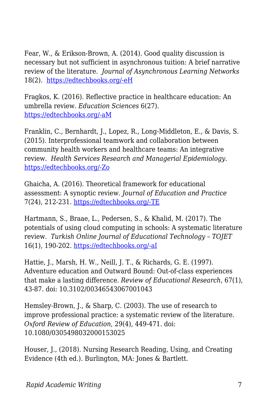Fear, W., & Erikson-Brown, A. (2014). Good quality discussion is necessary but not sufficient in asynchronous tuition: A brief narrative review of the literature. *Journal of Asynchronous Learning Networks* 18(2). [https://edtechbooks.org/-eH](http://files.eric.ed.gov/fulltext/EJ1036265.pdf)

Fragkos, K. (2016). Reflective practice in healthcare education: An umbrella review. *Education Sciences* 6(27). [https://edtechbooks.org/-aM](http://files.eric.ed.gov/fulltext/EJ1116801.pdf)

Franklin, C., Bernhardt, J., Lopez, R., Long-Middleton, E., & Davis, S. (2015). Interprofessional teamwork and collaboration between community health workers and healthcare teams: An integrative review. *Health Services Research and Managerial Epidemiology*. [https://edtechbooks.org/-Zo](https://www.ncbi.nlm.nih.gov/pubmed/28462254)

Ghaicha, A. (2016). Theoretical framework for educational assessment: A synoptic review. *Journal of Education and Practice* 7(24), 212-231. [https://edtechbooks.org/-TE](http://files.eric.ed.gov/fulltext/EJ1112912.pdf)

Hartmann, S., Braae, L., Pedersen, S., & Khalid, M. (2017). The potentials of using cloud computing in schools: A systematic literature review. *Turkish Online Journal of Educational Technology – TOJET* 16(1), 190-202. [https://edtechbooks.org/-aI](http://files.eric.ed.gov/fulltext/EJ1124903.pdf)

Hattie, J., Marsh, H. W., Neill, J. T., & Richards, G. E. (1997). Adventure education and Outward Bound: Out-of-class experiences that make a lasting difference. *Review of Educational Research*, 67(1), 43-87. doi: 10.3102/00346543067001043

Hemsley-Brown, J., & Sharp, C. (2003). The use of research to improve professional practice: a systematic review of the literature. *Oxford Review of Education*, 29(4), 449-471. doi: 10.1080/0305498032000153025

Houser, J., (2018). Nursing Research Reading, Using, and Creating Evidence (4th ed.). Burlington, MA: Jones & Bartlett.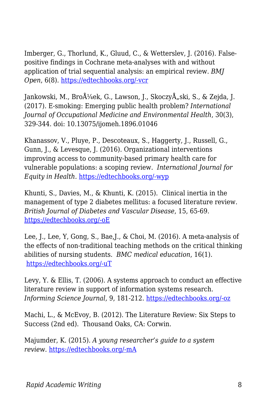Imberger, G., Thorlund, K., Gluud, C., & Wetterslev, J. (2016). Falsepositive findings in Cochrane meta-analyses with and without application of trial sequential analysis: an empirical review. *BMJ Open*, 6(8). [https://edtechbooks.org/-vcr](https://www.ncbi.nlm.nih.gov/pubmed/27519923)

Jankowski, M., Brożek, G., Lawson, J., SkoczyÅ"ski, S., & Zejda, J. (2017). E-smoking: Emerging public health problem? *International Journal of Occupational Medicine and Environmental Health*, 30(3), 329-344. doi: 10.13075/ijomeh.1896.01046

Khanassov, V., Pluye, P., Descoteaux, S., Haggerty, J., Russell, G., Gunn, J., & Levesque, J. (2016). Organizational interventions improving access to community-based primary health care for vulnerable populations: a scoping review. *International Journal for Equity in Health.* [https://edtechbooks.org/-wyp](https://www.ncbi.nlm.nih.gov/pubmed/27724952)

Khunti, S., Davies, M., & Khunti, K. (2015). Clinical inertia in the management of type 2 diabetes mellitus: a focused literature review. *British Journal of Diabetes and Vascular Disease*, 15, 65-69. [https://edtechbooks.org/-oE](http://www.bjd-abcd.com/index.php/bjd/article/view/69)

Lee, J., Lee, Y, Gong, S., Bae,J., & Choi, M. (2016). A meta-analysis of the effects of non-traditional teaching methods on the critical thinking abilities of nursing students. *BMC medical education*, 16(1). [https://edtechbooks.org/-uT](https://www.ncbi.nlm.nih.gov/pubmed/27633506)

Levy, Y. & Ellis, T. (2006). A systems approach to conduct an effective literature review in support of information systems research. *Informing Science Journal,* 9, 181-212. [https://edtechbooks.org/-oz](http://www.inform.nu/Articles/Vol9/V9p181-212Levy99.pdf)

Machi, L., & McEvoy, B. (2012). The Literature Review: Six Steps to Success (2nd ed). Thousand Oaks, CA: Corwin.

Majumder, K. (2015). *A young researcher's guide to a system review*. [https://edtechbooks.org/-mA](http://www.editage.com/insights/a-young-researchers-guide-to-a-systematic-review)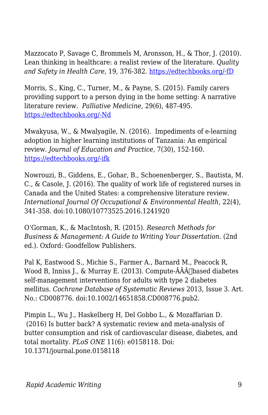Mazzocato P, Savage C, Brommels M, Aronsson, H., & Thor, J. (2010). Lean thinking in healthcare: a realist review of the literature. *Quality and Safety in Health Care*, 19, 376-382. [https://edtechbooks.org/-fD](http://qualitysafety.bmj.com/content/19/5/376.long)

Morris, S., King, C., Turner, M., & Payne, S. (2015). Family carers providing support to a person dying in the home setting: A narrative literature review. *Palliative Medicine,* 29(6), 487-495. [https://edtechbooks.org/-Nd](https://www.ncbi.nlm.nih.gov/pmc/articles/PMC4436280/)

Mwakyusa, W., & Mwalyagile, N. (2016). Impediments of e-learning adoption in higher learning institutions of Tanzania: An empirical review. *Journal of Education and Practice*, 7(30), 152-160. [https://edtechbooks.org/-ifk](http://files.eric.ed.gov/fulltext/EJ1118921.pdf)

Nowrouzi, B., Giddens, E., Gohar, B., Schoenenberger, S., Bautista, M. C., & Casole, J. (2016). The quality of work life of registered nurses in Canada and the United States: a comprehensive literature review. *International Journal Of Occupational & Environmental Health,* 22(4), 341-358. doi:10.1080/10773525.2016.1241920

O'Gorman, K., & MacIntosh, R. (2015). *Research Methods for Business & Management: A Guide to Writing Your Dissertation*. (2nd ed.). Oxford: Goodfellow Publishers.

Pal K, Eastwood S., Michie S., Farmer A., Barnard M., Peacock R, Wood B, Inniss J., & Murray E. (2013). Compute- $\hat{A}\hat{A}\hat{A}$  based diabetes self-management interventions for adults with type 2 diabetes mellitus. *Cochrane Database of Systematic Reviews* 2013, Issue 3. Art. No.: CD008776. doi:10.1002/14651858.CD008776.pub2.

Pimpin L., Wu J., Haskelberg H, Del Gobbo L., & Mozaffarian D. (2016) Is butter back? A systematic review and meta-analysis of butter consumption and risk of cardiovascular disease, diabetes, and total mortality. *PLoS ONE* 11(6): e0158118. Doi: 10.1371/journal.pone.0158118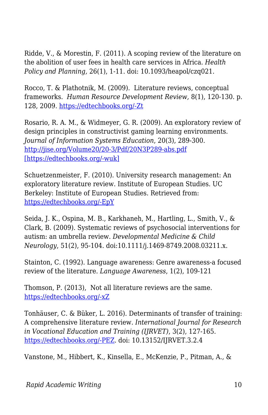Ridde, V., & Morestin, F. (2011). A scoping review of the literature on the abolition of user fees in health care services in Africa. *Health Policy and Planning,* 26(1), 1-11. doi: 10.1093/heapol/czq021.

Rocco, T. & Plathotnik, M. (2009). Literature reviews, conceptual frameworks. *Human Resource Development Review,* 8(1), 120-130. p. 128, 2009. [https://edtechbooks.org/-Zt](http://citeseerx.ist.psu.edu/viewdoc/download?doi=10.1.1.1023.5634&rep=rep1&type=pdf)

Rosario, R. A. M., & Widmeyer, G. R. (2009). An exploratory review of design principles in constructivist gaming learning environments. *Journal of Information Systems Education*, 20(3), 289-300. <http://jise.org/Volume20/20-3/Pdf/20N3P289-abs.pdf> [\[https://edtechbooks.org/-wuk\]](http://jise.org/Volume20/20-3/Pdf/20N3P289-abs.pdf)

Schuetzenmeister, F. (2010). University research management: An exploratory literature review. Institute of European Studies. UC Berkeley: Institute of European Studies. Retrieved from: [https://edtechbooks.org/-EpY](http://escholarship.org/uc/item/77p3j2hr)

Seida, J. K., Ospina, M. B., Karkhaneh, M., Hartling, L., Smith, V., & Clark, B. (2009). Systematic reviews of psychosocial interventions for autism: an umbrella review. *Developmental Medicine & Child Neurology*, 51(2), 95-104. doi:10.1111/j.1469-8749.2008.03211.x.

Stainton, C. (1992). Language awareness: Genre awareness-a focused review of the literature. *Language Awareness*, 1(2), 109-121

Thomson, P. (2013), Not all literature reviews are the same. [https://edtechbooks.org/-xZ](https://patthomson.net/2013/05/23/not-all-literature-reviews-are-the-same/)

Tonhäuser, C. & Büker, L. 2016). Determinants of transfer of training: A comprehensive literature review. *International Journal for Research in Vocational Education and Training (IJRVET)*, 3(2), 127-165. [https://edtechbooks.org/-PEZ](http://files.eric.ed.gov/fulltext/ED568698.pdf). doi: 10.13152/IJRVET.3.2.4

Vanstone, M., Hibbert, K., Kinsella, E., McKenzie, P., Pitman, A., &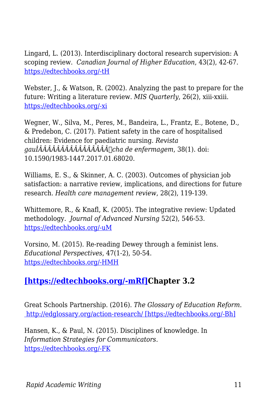Lingard, L. (2013). Interdisciplinary doctoral research supervision: A scoping review. *Canadian Journal of Higher Education*, 43(2), 42-67. [https://edtechbooks.org/-tH](http://files.eric.ed.gov/fulltext/EJ1013587.pdf)

Webster, J., & Watson, R. (2002). Analyzing the past to prepare for the future: Writing a literature review. *MIS Quarterly*, 26(2), xiii-xxiii. [https://edtechbooks.org/-xi](https://web.njit.edu/~egan/Writing_A_Literature_Review.pdf)

Wegner, W., Silva, M., Peres, M., Bandeira, L., Frantz, E., Botene, D., & Predebon, C. (2017). Patient safety in the care of hospitalised children: Evidence for paediatric nursing. *Revista gauÌÂÂÂÂÂÂÂÂÂÂÂÂÂÂÂÂcha de enfermagem*, 38(1). doi: 10.1590/1983-1447.2017.01.68020.

Williams, E. S., & Skinner, A. C. (2003). Outcomes of physician job satisfaction: a narrative review, implications, and directions for future research. *Health care management review*, 28(2), 119-139.

Whittemore, R., & Knafl, K. (2005). The integrative review: Updated methodology. *Journal of Advanced Nursing* 52(2), 546-53. [https://edtechbooks.org/-uM](http://onlinelibrary.wiley.com/doi/10.1111/j.1365-2648.2005.03621.x/epdf)

Vorsino, M. (2015). Re-reading Dewey through a feminist lens. *Educational Perspectives*, 47(1-2), 50-54. [https://edtechbooks.org/-HMH](http://files.eric.ed.gov/fulltext/EJ1088345.pdf)

#### **[\[https://edtechbooks.org/-mRf\]C](https://edtechbooks.org/rapidwriting/)hapter 3.2**

Great Schools Partnership. (2016). *The Glossary of Education Reform*.  [http://edglossary.org/action-research/ \[https://edtechbooks.org/-Bh\]](http://edglossary.org/action-research/)

Hansen, K., & Paul, N. (2015). Disciplines of knowledge. In *Information Strategies for Communicators.* [https://edtechbooks.org/-FK](http://open.lib.umn.edu/infostrategies/chapter/6-7-disciplines-of-knowledge/)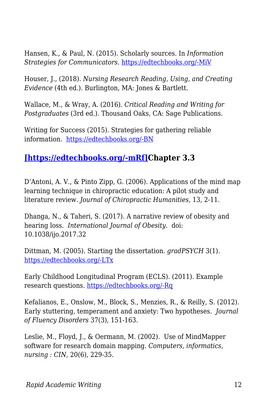Hansen, K., & Paul, N. (2015). Scholarly sources. In *Information Strategies for Communicators.* [https://edtechbooks.org/-MiV](http://open.lib.umn.edu/infostrategies/chapter/6-4-scholarly-sources/)

Houser, J., (2018). *Nursing Research Reading, Using, and Creating Evidence* (4th ed.). Burlington, MA: Jones & Bartlett.

Wallace, M., & Wray, A. (2016). *Critical Reading and Writing for Postgraduates* (3rd ed.). Thousand Oaks, CA: Sage Publications.

Writing for Success (2015). Strategies for gathering reliable information. [https://edtechbooks.org/-BN](http://open.lib.umn.edu/writingforsuccess/chapter/11-4-strategies-for-gathering-reliable-information/)

#### **[\[https://edtechbooks.org/-mRf\]C](https://edtechbooks.org/rapidwriting/)hapter 3.3**

D'Antoni, A. V., & Pinto Zipp, G. (2006). Applications of the mind map learning technique in chiropractic education: A pilot study and literature review. *Journal of Chiropractic Humanities*, 13, 2-11.

Dhanga, N., & Taheri, S. (2017). A narrative review of obesity and hearing loss. *International Journal of Obesity*. doi: 10.1038/ijo.2017.32

Dittman, M. (2005). Starting the dissertation. *gradPSYCH* 3(1). [https://edtechbooks.org/-LTx](http://www.apa.org/gradpsych/2005/01/starting.aspx)

Early Childhood Longitudinal Program (ECLS). (2011). Example research questions. [https://edtechbooks.org/-Rq](https://nces.ed.gov/ecls/researchquestions2011.asp)

Kefalianos, E., Onslow, M., Block, S., Menzies, R., & Reilly, S. (2012). Early stuttering, temperament and anxiety: Two hypotheses. *Journal of Fluency Disorders* 37(3), 151-163.

Leslie, M., Floyd, J., & Oermann, M. (2002). Use of MindMapper software for research domain mapping. *Computers, informatics, nursing : CIN,* 20(6), 229-35.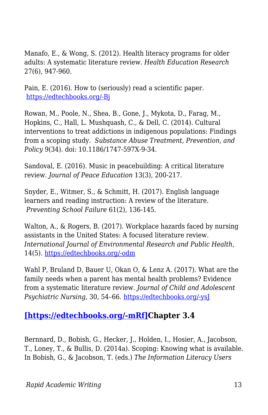Manafo, E., & Wong, S. (2012). Health literacy programs for older adults: A systematic literature review. *Health Education Research* 27(6), 947-960.

Pain, E. (2016). How to (seriously) read a scientific paper. [https://edtechbooks.org/-Bj](http://www.sciencemag.org/careers/2016/03/how-seriously-read-scientific-paper)

Rowan, M., Poole, N., Shea, B., Gone, J., Mykota, D., Farag, M., Hopkins, C., Hall, L. Mushquash, C., & Dell, C. (2014). Cultural interventions to treat addictions in indigenous populations: Findings from a scoping study. *Substance Abuse Treatment, Prevention, and Policy* 9(34). doi: 10.1186/1747-597X-9-34.

Sandoval, E. (2016). Music in peacebuilding: A critical literature review. *Journal of Peace Education* 13(3), 200-217.

Snyder, E., Witmer, S., & Schmitt, H. (2017). English language learners and reading instruction: A review of the literature. *Preventing School Failure* 61(2), 136-145.

Walton, A., & Rogers, B. (2017). Workplace hazards faced by nursing assistants in the United States: A focused literature review. *International Journal of Environmental Research and Public Health*, 14(5). [https://edtechbooks.org/-odm](https://www.ncbi.nlm.nih.gov/pubmed/28534859)

Wahl P, Bruland D, Bauer U, Okan O, & Lenz A. (2017). What are the family needs when a parent has mental health problems? Evidence from a systematic literature review. *Journal of Child and Adolescent Psychiatric Nursing,* 30, 54–66. [https://edtechbooks.org/-ysJ](https://doi.org/10.1111/jcap.12171)

#### **[\[https://edtechbooks.org/-mRf\]C](https://edtechbooks.org/rapidwriting/)hapter 3.4**

Bernnard, D., Bobish, G., Hecker, J., Holden, I., Hosier, A., Jacobson, T., Loney, T., & Bullis, D. (2014a). Scoping: Knowing what is available. In Bobish, G., & Jacobson, T. (eds.) *The Information Literacy Users*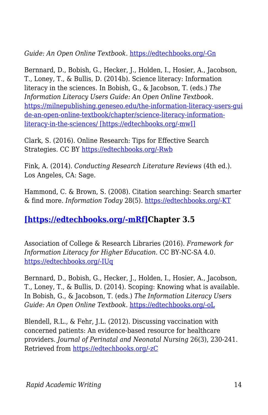*Guide: An Open Online Textbook*. [https://edtechbooks.org/-Gn](https://milnepublishing.geneseo.edu/the-information-literacy-users-guide-an-open-online-textbook/chapter/gather-finding-what-you-need/)

Bernnard, D., Bobish, G., Hecker, J., Holden, I., Hosier, A., Jacobson, T., Loney, T., & Bullis, D. (2014b). Science literacy: Information literacy in the sciences. In Bobish, G., & Jacobson, T. (eds.) *The Information Literacy Users Guide: An Open Online Textbook*. [https://milnepublishing.geneseo.edu/the-information-literacy-users-gui](https://milnepublishing.geneseo.edu/the-information-literacy-users-guide-an-open-online-textbook/chapter/science-literacy-information-literacy-in-the-sciences/) [de-an-open-online-textbook/chapter/science-literacy-information](https://milnepublishing.geneseo.edu/the-information-literacy-users-guide-an-open-online-textbook/chapter/science-literacy-information-literacy-in-the-sciences/)[literacy-in-the-sciences/ \[https://edtechbooks.org/-mwI\]](https://milnepublishing.geneseo.edu/the-information-literacy-users-guide-an-open-online-textbook/chapter/science-literacy-information-literacy-in-the-sciences/)

Clark, S. (2016). Online Research: Tips for Effective Search Strategies. CC BY [https://edtechbooks.org/-Rwb](https://www.youtube.com/watch?v=LTJygQwYV84)

Fink, A. (2014). *Conducting Research Literature Reviews* (4th ed.). Los Angeles, CA: Sage.

Hammond, C. & Brown, S. (2008). Citation searching: Search smarter & find more. *Information Today* 28(5). [https://edtechbooks.org/-KT](http://www.infotoday.com/cilmag/may08/Hammond_Brown.shtml)

#### **[\[https://edtechbooks.org/-mRf\]C](https://edtechbooks.org/rapidwriting/)hapter 3.5**

Association of College & Research Libraries (2016). *Framework for Information Literacy for Higher Education*. CC BY-NC-SA 4.0. [https://edtechbooks.org/-IUq](http://www.ala.org/acrl/standards/ilframework)

Bernnard, D., Bobish, G., Hecker, J., Holden, I., Hosier, A., Jacobson, T., Loney, T., & Bullis, D. (2014). Scoping: Knowing what is available. In Bobish, G., & Jacobson, T. (eds.) *The Information Literacy Users Guide: An Open Online Textbook*. [https://edtechbooks.org/-oL](https://milnepublishing.geneseo.edu/the-information-literacy-users-guide-an-open-online-textbook/chapter/evaluate-assessing-your-research-process-and-findings/)

Blendell, R.L., & Fehr, J.L. (2012). Discussing vaccination with concerned patients: An evidence-based resource for healthcare providers. *Journal of Perinatal and Neonatal Nursing* 26(3), 230-241. Retrieved from [https://edtechbooks.org/-zC](http://www.nursingcenter.com/evidencebasedpracticenetwork/home/journalarticle.aspx?Article_ID=1405702)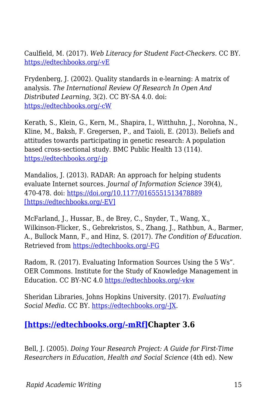Caulfield, M. (2017). *Web Literacy for Student Fact-Checkers*. CC BY. [https://edtechbooks.org/-vE](https://webliteracy.pressbooks.com/)

Frydenberg, J. (2002). Quality standards in e-learning: A matrix of analysis. *The International Review Of Research In Open And Distributed Learning*, 3(2). CC BY-SA 4.0. doi: [https://edtechbooks.org/-cW](http://dx.doi.org/10.19173/irrodl.v3i2.109)

Kerath, S., Klein, G., Kern, M., Shapira, I., Witthuhn, J., Norohna, N., Kline, M., Baksh, F. Gregersen, P., and Taioli, E. (2013). Beliefs and attitudes towards participating in genetic research: A population based cross-sectional study. BMC Public Health 13 (114). [https://edtechbooks.org/-jp](https://doi.org/10.1186/1471-2458-13-114)

Mandalios, J. (2013). RADAR: An approach for helping students evaluate Internet sources. *Journal of Information Science* 39(4), 470-478. doi:<https://doi.org/10.1177/0165551513478889> [\[https://edtechbooks.org/-EV\]](https://doi.org/10.1177/0165551513478889)

McFarland, J., Hussar, B., de Brey, C., Snyder, T., Wang, X., Wilkinson-Flicker, S., Gebrekristos, S., Zhang, J., Rathbun, A., Barmer, A., Bullock Mann, F., and Hinz, S. (2017). *The Condition of Education*. Retrieved from [https://edtechbooks.org/-FG](https://nces.ed.gov/pubsearch/pubsinfo.asp?pubid=201714)

Radom, R. (2017). Evaluating Information Sources Using the 5 Ws". OER Commons. Institute for the Study of Knowledge Management in Education. CC BY-NC 4.0 [https://edtechbooks.org/-vkw](https://www.oercommons.org/authoring/19364-evaluating-information-sources-using-the-5-ws)

Sheridan Libraries, Johns Hopkins University. (2017). *Evaluating Social Media*. CC BY. [https://edtechbooks.org/-JX](http://guides.library.jhu.edu/c.php?g=202581&p=1335031).

#### **[\[https://edtechbooks.org/-mRf\]C](https://edtechbooks.org/rapidwriting/)hapter 3.6**

Bell, J. (2005). *Doing Your Research Project: A Guide for First-Time Researchers in Education, Health and Social Science* (4th ed). New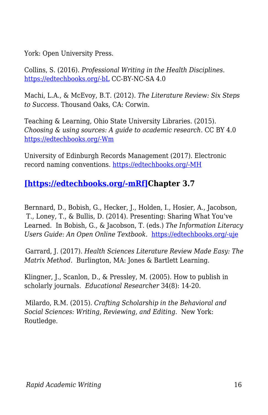York: Open University Press.

Collins, S. (2016). *Professional Writing in the Health Disciplines*. [https://edtechbooks.org/-bL](http://epub-fhd.athabascau.ca/professionalwriting/) CC-BY-NC-SA 4.0

Machi, L.A., & McEvoy, B.T. (2012). *The Literature Review: Six Steps to Success*. Thousand Oaks, CA: Corwin.

Teaching & Learning, Ohio State University Libraries. (2015). *Choosing & using sources: A guide to academic research*. CC BY 4.0 [https://edtechbooks.org/-Wm](https://osu.pb.unizin.org/choosingsources/)

University of Edinburgh Records Management (2017). Electronic record naming conventions. [https://edtechbooks.org/-MH](http://www.ed.ac.uk/records-management/records-management/staff-guidance/electronic-records/naming-conventions)

#### **[\[https://edtechbooks.org/-mRf\]C](https://edtechbooks.org/rapidwriting/)hapter 3.7**

Bernnard, D., Bobish, G., Hecker, J., Holden, I., Hosier, A., Jacobson, T., Loney, T., & Bullis, D. (2014). Presenting: Sharing What You've Learned. In Bobish, G., & Jacobson, T. (eds.) *The Information Literacy Users Guide: An Open Online Textbook*. [https://edtechbooks.org/-uje](https://milnepublishing.geneseo.edu/the-information-literacy-users-guide-an-open-online-textbook/chapter/present-sharing-what-youve-learned/)

Garrard, J. (2017). *Health Sciences Literature Review Made Easy: The Matrix Method*. Burlington, MA: Jones & Bartlett Learning.

Klingner, J., Scanlon, D., & Pressley, M. (2005). How to publish in scholarly journals. *Educational Researcher* 34(8): 14-20.

Milardo, R.M. (2015). *Crafting Scholarship in the Behavioral and Social Sciences: Writing, Reviewing, and Editing*. New York: Routledge.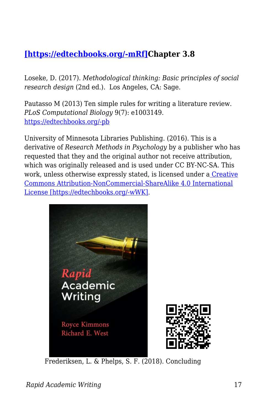#### **[\[https://edtechbooks.org/-mRf\]C](https://edtechbooks.org/rapidwriting/)hapter 3.8**

Loseke, D. (2017). *Methodological thinking: Basic principles of social research design* (2nd ed.). Los Angeles, CA: Sage.

Pautasso M (2013) Ten simple rules for writing a literature review. *PLoS Computational Biology* 9(7): e1003149. [https://edtechbooks.org/-pb](https://doi.org/10.1371/journal.pcbi.1003149)

University of Minnesota Libraries Publishing. (2016). This is a derivative of *Research Methods in Psychology* by a publisher who has requested that they and the original author not receive attribution, which was originally released and is used under CC BY-NC-SA. This work, unless otherwise expressly stated, is licensed under [a Creative](http://creativecommons.org/licenses/by-nc-sa/4.0/) [Commons Attribution-NonCommercial-ShareAlike 4.0 International](http://creativecommons.org/licenses/by-nc-sa/4.0/) [License \[https://edtechbooks.org/-wWK\].](http://creativecommons.org/licenses/by-nc-sa/4.0/)



Frederiksen, L. & Phelps, S. F. (2018). Concluding